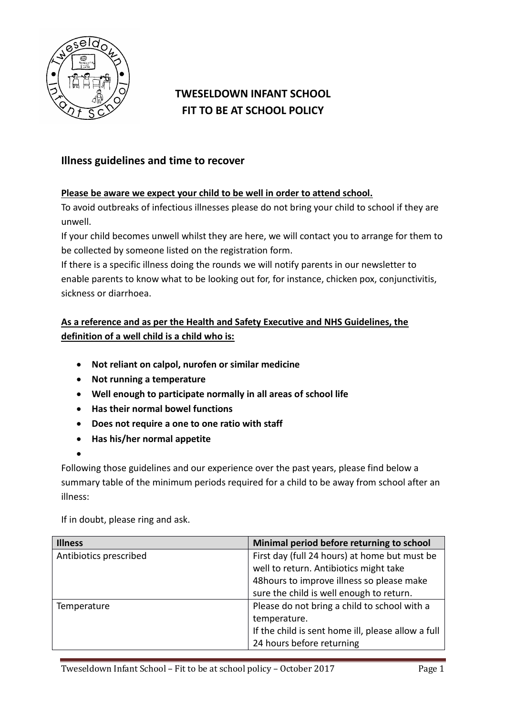

## **TWESELDOWN INFANT SCHOOL FIT TO BE AT SCHOOL POLICY**

## **Illness guidelines and time to recover**

## **Please be aware we expect your child to be well in order to attend school.**

To avoid outbreaks of infectious illnesses please do not bring your child to school if they are unwell.

If your child becomes unwell whilst they are here, we will contact you to arrange for them to be collected by someone listed on the registration form.

If there is a specific illness doing the rounds we will notify parents in our newsletter to enable parents to know what to be looking out for, for instance, chicken pox, conjunctivitis, sickness or diarrhoea.

## **As a reference and as per the Health and Safety Executive and NHS Guidelines, the definition of a well child is a child who is:**

- **Not reliant on calpol, nurofen or similar medicine**
- **Not running a temperature**
- **Well enough to participate normally in all areas of school life**
- **Has their normal bowel functions**
- **Does not require a one to one ratio with staff**
- **Has his/her normal appetite**
- $\bullet$

Following those guidelines and our experience over the past years, please find below a summary table of the minimum periods required for a child to be away from school after an illness:

If in doubt, please ring and ask.

| <b>Illness</b>         | Minimal period before returning to school          |  |
|------------------------|----------------------------------------------------|--|
| Antibiotics prescribed | First day (full 24 hours) at home but must be      |  |
|                        | well to return. Antibiotics might take             |  |
|                        | 48 hours to improve illness so please make         |  |
|                        | sure the child is well enough to return.           |  |
| Temperature            | Please do not bring a child to school with a       |  |
|                        | temperature.                                       |  |
|                        | If the child is sent home ill, please allow a full |  |
|                        | 24 hours before returning                          |  |